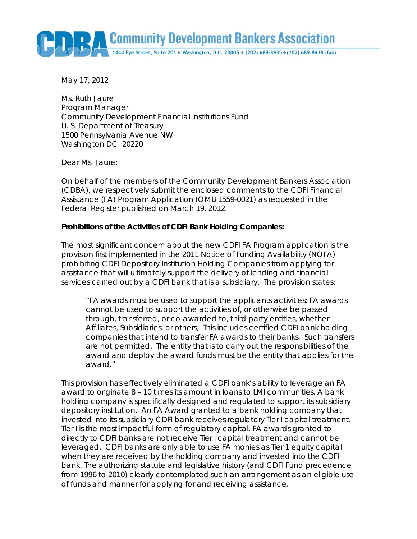Community Development Bankers Association

1444 Eye Street, Suite 201 · Washington, D.C. 20005 · (202) 689-8935 · (202) 689-8938 (fax)

May 17, 2012

Ms. Ruth Jaure Program Manager Community Development Financial Institutions Fund U. S. Department of Treasury 1500 Pennsylvania Avenue NW Washington DC 20220

Dear Ms. Jaure:

On behalf of the members of the Community Development Bankers Association (CDBA), we respectively submit the enclosed comments to the CDFI Financial Assistance (FA) Program Application (OMB 1559-0021) as requested in the Federal Register published on March 19, 2012.

#### **Prohibitions of the Activities of CDFI Bank Holding Companies:**

The most significant concern about the new CDFI FA Program application is the provision first implemented in the 2011 Notice of Funding Availability (NOFA) prohibiting CDFI Depository Institution Holding Companies from applying for assistance that will ultimately support the delivery of lending and financial services carried out by a CDFI bank that is a subsidiary. The provision states:

*"FA awards must be used to support the applicants activities; FA awards cannot be used to support the activities of, or otherwise be passed through, transferred, or co-awarded to, third party entities, whether Affiliates, Subsidiaries, or others, This includes certified CDFI bank holding companies that intend to transfer FA awards to their banks. Such transfers are not permitted. The entity that is to carry out the responsibilities of the award and deploy the award funds must be the entity that applies for the award."* 

This provision has effectively eliminated a CDFI bank's ability to leverage an FA award to originate 8 – 10 times its amount in loans to LMI communities. A bank holding company is specifically designed and regulated to support its subsidiary depository institution. An FA Award granted to a bank holding company that invested into its subsidiary CDFI bank receives regulatory Tier I capital treatment. Tier I is the most impactful form of regulatory capital. FA awards granted to directly to CDFI banks are not receive Tier I capital treatment and cannot be leveraged. CDFI banks are only able to use FA monies as Tier 1 equity capital when they are received by the holding company and invested into the CDFI bank. The authorizing statute and legislative history (and CDFI Fund precedence from 1996 to 2010) clearly contemplated such an arrangement as an eligible use of funds and manner for applying for and receiving assistance.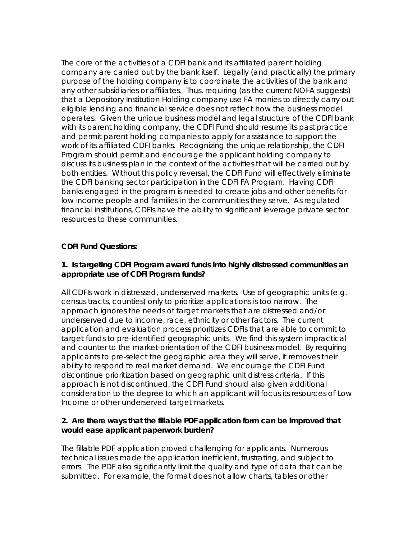The core of the activities of a CDFI bank and its affiliated parent holding company are carried out by the bank itself. Legally (and practically) the primary purpose of the holding company is to coordinate the activities of the bank and any other subsidiaries or affiliates. Thus, requiring (as the current NOFA suggests) that a Depository Institution Holding company use FA monies to directly carry out eligible lending and financial service does not reflect how the business model operates. Given the unique business model and legal structure of the CDFI bank with its parent holding company, the CDFI Fund should resume its past practice and permit parent holding companies to apply for assistance to support the work of its affiliated CDFI banks. Recognizing the unique relationship, the CDFI Program should permit and encourage the applicant holding company to discuss its business plan in the context of the activities that will be carried out by both entities. Without this policy reversal, the CDFI Fund will effectively eliminate the CDFI banking sector participation in the CDFI FA Program. Having CDFI banks engaged in the program is needed to create jobs and other benefits for low income people and families in the communities they serve. As regulated financial institutions, CDFIs have the ability to significant leverage private sector resources to these communities.

# **CDFI Fund Questions:**

## **1. Is targeting CDFI Program award funds into highly distressed communities an appropriate use of CDFI Program funds?**

All CDFIs work in distressed, underserved markets. Use of geographic units (e.g. census tracts, counties) only to prioritize applications is too narrow. The approach ignores the needs of target markets that are distressed and/or underserved due to income, race, ethnicity or other factors. The current application and evaluation process prioritizes CDFIs that are able to commit to target funds to pre-identified geographic units. We find this system impractical and counter to the market-orientation of the CDFI business model. By requiring applicants to pre-select the geographic area they will serve, it removes their ability to respond to real market demand. We encourage the CDFI Fund discontinue prioritization based on geographic unit distress criteria. If this approach is not discontinued, the CDFI Fund should also given additional consideration to the degree to which an applicant will focus its resources of Low Income or other underserved target markets.

# **2. Are there ways that the fillable PDF application form can be improved that would ease applicant paperwork burden?**

The fillable PDF application proved challenging for applicants. Numerous technical issues made the application inefficient, frustrating, and subject to errors. The PDF also significantly limit the quality and type of data that can be submitted. For example, the format does not allow charts, tables or other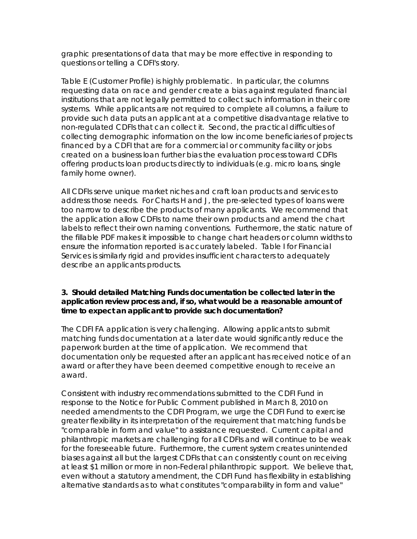graphic presentations of data that may be more effective in responding to questions or telling a CDFI's story.

Table E (Customer Profile) is highly problematic. In particular, the columns requesting data on race and gender create a bias against regulated financial institutions that are not legally permitted to collect such information in their core systems. While applicants are not required to complete all columns, a failure to provide such data puts an applicant at a competitive disadvantage relative to non-regulated CDFIs that can collect it. Second, the practical difficulties of collecting demographic information on the low income beneficiaries of projects financed by a CDFI that are for a commercial or community facility or jobs created on a business loan further bias the evaluation process toward CDFIs offering products loan products directly to individuals (e.g. micro loans, single family home owner).

All CDFIs serve unique market niches and craft loan products and services to address those needs. For Charts H and J, the pre-selected types of loans were too narrow to describe the products of many applicants. We recommend that the application allow CDFIs to name their own products and amend the chart labels to reflect their own naming conventions. Furthermore, the static nature of the fillable PDF makes it impossible to change chart headers or column widths to ensure the information reported is accurately labeled. Table I for Financial Services is similarly rigid and provides insufficient characters to adequately describe an applicants products.

# **3. Should detailed Matching Funds documentation be collected later in the application review process and, if so, what would be a reasonable amount of time to expect an applicant to provide such documentation?**

The CDFI FA application is very challenging. Allowing applicants to submit matching funds documentation at a later date would significantly reduce the paperwork burden at the time of application. We recommend that documentation only be requested after an applicant has received notice of an award or after they have been deemed competitive enough to receive an award.

Consistent with industry recommendations submitted to the CDFI Fund in response to the Notice for Public Comment published in March 8, 2010 on needed amendments to the CDFI Program, we urge the CDFI Fund to exercise greater flexibility in its interpretation of the requirement that matching funds be "comparable in form and value" to assistance requested. Current capital and philanthropic markets are challenging for all CDFIs and will continue to be weak for the foreseeable future. Furthermore, the current system creates unintended biases against all but the largest CDFIs that can consistently count on receiving at least \$1 million or more in non-Federal philanthropic support. We believe that, even without a statutory amendment, the CDFI Fund has flexibility in establishing alternative standards as to what constitutes "comparability in form and value"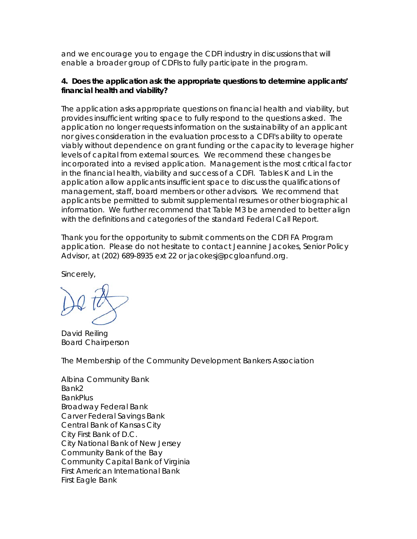and we encourage you to engage the CDFI industry in discussions that will enable a broader group of CDFIs to fully participate in the program.

#### **4. Does the application ask the appropriate questions to determine applicants' financial health and viability?**

The application asks appropriate questions on financial health and viability, but provides insufficient writing space to fully respond to the questions asked. The application no longer requests information on the sustainability of an applicant nor gives consideration in the evaluation process to a CDFI's ability to operate viably without dependence on grant funding or the capacity to leverage higher levels of capital from external sources. We recommend these changes be incorporated into a revised application. Management is the most critical factor in the financial health, viability and success of a CDFI. Tables K and L in the application allow applicants insufficient space to discuss the qualifications of management, staff, board members or other advisors. We recommend that applicants be permitted to submit supplemental resumes or other biographical information. We further recommend that Table M3 be amended to better align with the definitions and categories of the standard Federal Call Report.

Thank you for the opportunity to submit comments on the CDFI FA Program application. Please do not hesitate to contact Jeannine Jacokes, Senior Policy Advisor, at (202) 689-8935 ext 22 or jacokesj@pcgloanfund.org.

Sincerely,

David Reiling Board Chairperson

The Membership of the Community Development Bankers Association

Albina Community Bank Bank2 **BankPlus** Broadway Federal Bank Carver Federal Savings Bank Central Bank of Kansas City City First Bank of D.C. City National Bank of New Jersey Community Bank of the Bay Community Capital Bank of Virginia First American International Bank First Eagle Bank